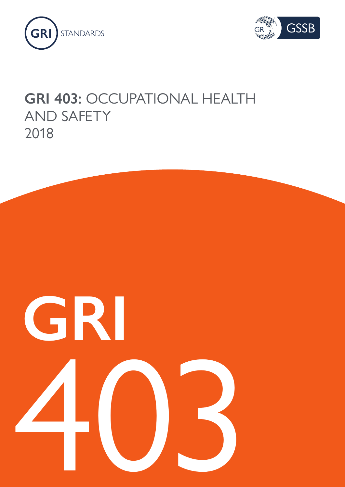



# **GRI 403:** OCCUPATIONAL HEALTH AND SAFETY 2018

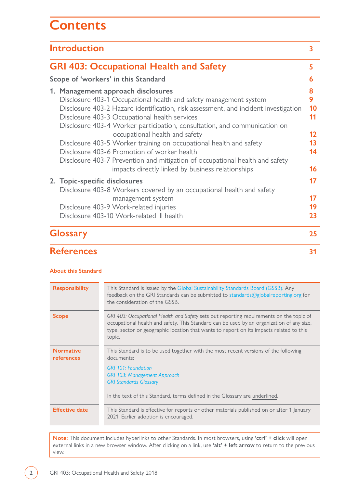## **Contents**

| <b>Introduction</b><br><b>GRI 403: Occupational Health and Safety</b>                                                                                                                                                                                                                                                                                                                                                                                                                                                                                                                                                    |                      |  |                                     |
|--------------------------------------------------------------------------------------------------------------------------------------------------------------------------------------------------------------------------------------------------------------------------------------------------------------------------------------------------------------------------------------------------------------------------------------------------------------------------------------------------------------------------------------------------------------------------------------------------------------------------|----------------------|--|-------------------------------------|
|                                                                                                                                                                                                                                                                                                                                                                                                                                                                                                                                                                                                                          |                      |  | Scope of 'workers' in this Standard |
| 1. Management approach disclosures<br>Disclosure 403-1 Occupational health and safety management system<br>Disclosure 403-2 Hazard identification, risk assessment, and incident investigation<br>Disclosure 403-3 Occupational health services<br>Disclosure 403-4 Worker participation, consultation, and communication on<br>occupational health and safety<br>Disclosure 403-5 Worker training on occupational health and safety<br>Disclosure 403-6 Promotion of worker health<br>Disclosure 403-7 Prevention and mitigation of occupational health and safety<br>impacts directly linked by business relationships |                      |  |                                     |
| 2. Topic-specific disclosures<br>Disclosure 403-8 Workers covered by an occupational health and safety<br>management system<br>Disclosure 403-9 Work-related injuries<br>Disclosure 403-10 Work-related ill health                                                                                                                                                                                                                                                                                                                                                                                                       | 17<br>17<br>19<br>23 |  |                                     |
| <b>Glossary</b>                                                                                                                                                                                                                                                                                                                                                                                                                                                                                                                                                                                                          | 25                   |  |                                     |
| <b>References</b>                                                                                                                                                                                                                                                                                                                                                                                                                                                                                                                                                                                                        | 31                   |  |                                     |

#### **About this Standard**

| <b>Responsibility</b>          | This Standard is issued by the Global Sustainability Standards Board (GSSB). Any<br>feedback on the GRI Standards can be submitted to standards@globalreporting.org for<br>the consideration of the GSSB.                                                                                 |
|--------------------------------|-------------------------------------------------------------------------------------------------------------------------------------------------------------------------------------------------------------------------------------------------------------------------------------------|
| <b>Scope</b>                   | GRI 403: Occupational Health and Safety sets out reporting requirements on the topic of<br>occupational health and safety. This Standard can be used by an organization of any size,<br>type, sector or geographic location that wants to report on its impacts related to this<br>topic. |
| <b>Normative</b><br>references | This Standard is to be used together with the most recent versions of the following<br>documents:<br><b>GRI 101: Foundation</b><br><b>GRI 103: Management Approach</b><br><b>GRI Standards Glossary</b><br>In the text of this Standard, terms defined in the Glossary are underlined.    |
| <b>Effective date</b>          | This Standard is effective for reports or other materials published on or after 1 January<br>2021. Earlier adoption is encouraged.                                                                                                                                                        |

**Note:** This document includes hyperlinks to other Standards. In most browsers, using **'ctrl' + click** will open external links in a new browser window. After clicking on a link, use **'alt' + left arrow** to return to the previous view.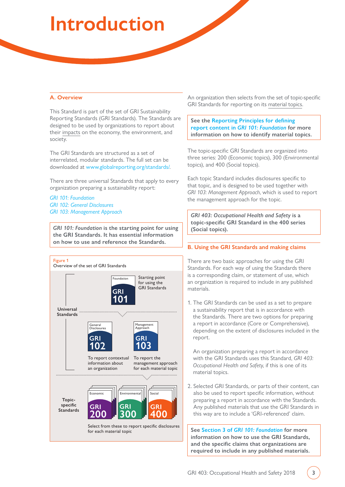# <span id="page-2-0"></span>**Introduction**

#### **A. Overview**

This Standard is part of the set of GRI Sustainability Reporting Standards (GRI Standards). The Standards are designed to be used by organizations to report about their [impacts](#page-26-0) on the economy, the environment, and society.

The GRI Standards are structured as a set of interrelated, modular standards. The full set can be downloaded at [www.globalreporting.org/standards/.](http://www.globalreporting.org/standards/)

There are three universal Standards that apply to every organization preparing a sustainability report:

*[GRI 101: Foundation](https://www.globalreporting.org/standards/media/1036/gri-101-foundation-2016.pdf) [GRI 102: General Disclosures](https://www.globalreporting.org/standards/media/1037/gri-102-general-disclosures-2016.pdf) [GRI 103: Management Approach](https://www.globalreporting.org/standards/media/1038/gri-103-management-approach-2016.pdf)*

*GRI 101: Foundation* **is the starting point for using the GRI Standards. It has essential information on how to use and reference the Standards.** 



An organization then selects from the set of topic-specific GRI Standards for reporting on its [material topics](#page-26-1).

#### **See the [Reporting Principles for defining](https://www.globalreporting.org/standards/media/1036/gri-101-foundation-2016.pdf#page=8)  report content in** *[GRI 101: Foundation](https://www.globalreporting.org/standards/media/1036/gri-101-foundation-2016.pdf#page=8)* **for more information on how to identify material topics.**

The topic-specific GRI Standards are organized into three series: 200 (Economic topics), 300 (Environmental topics), and 400 (Social topics).

Each topic Standard includes disclosures specific to that topic, and is designed to be used together with *GRI 103: Management Approach*, which is used to report the management approach for the topic.

*GRI 403: Occupational Health and Safety* **is a topic-specific GRI Standard in the 400 series (Social topics).**

#### **B. Using the GRI Standards and making claims**

There are two basic approaches for using the GRI Standards. For each way of using the Standards there is a corresponding claim, or statement of use, which an organization is required to include in any published materials.

1. The GRI Standards can be used as a set to prepare a sustainability report that is in accordance with the Standards. There are two options for preparing a report in accordance (Core or Comprehensive), depending on the extent of disclosures included in the report.

An organization preparing a report in accordance with the GRI Standards uses this Standard, *GRI 403: Occupational Health and Safety*, if this is one of its material topics.

2. Selected GRI Standards, or parts of their content, can also be used to report specific information, without preparing a report in accordance with the Standards. Any published materials that use the GRI Standards in this way are to include a 'GRI-referenced' claim.

**See Section 3 of** *[GRI 101: Foundation](https://www.globalreporting.org/standards/media/1036/gri-101-foundation-2016.pdf#page=21)* **for more information on how to use the GRI Standards, and the specific claims that organizations are required to include in any published materials.**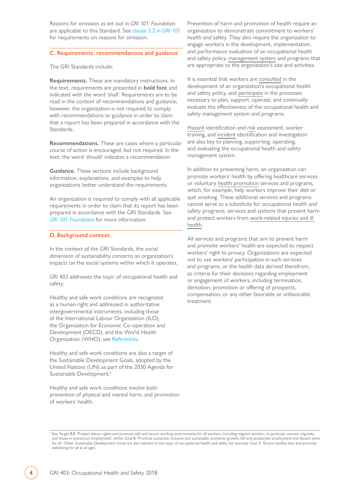Reasons for omission as set out in *GRI 101: Foundation* are applicable to this Standard. See [clause 3.2 in](https://www.globalreporting.org/standards/media/1036/gri-101-foundation-2016.pdf#page=24) *GRI 101* for requirements on reasons for omission.

#### **C. Requirements, recommendations and guidance**

The GRI Standards include:

**Requirements.** These are mandatory instructions. In the text, requirements are presented in **bold font** and indicated with the word 'shall'. Requirements are to be read in the context of recommendations and guidance; however, the organization is not required to comply with recommendations or guidance in order to claim that a report has been prepared in accordance with the Standards.

**Recommendations.** These are cases where a particular course of action is encouraged, but not required. In the text, the word 'should' indicates a recommendation.

**Guidance.** These sections include background information, explanations, and examples to help organizations better understand the requirements.

An organization is required to comply with all applicable requirements in order to claim that its report has been prepared in accordance with the GRI Standards. See *[GRI 101: Foundation](https://www.globalreporting.org/standards/media/1036/gri-101-foundation-2016.pdf#page=21)* for more information.

#### **D. Background context**

In the context of the GRI Standards, the social dimension of sustainability concerns an organization's impacts on the social systems within which it operates.

*GRI 403* addresses the topic of occupational health and safety.

Healthy and safe work conditions are recognized as a human right and addressed in authoritative intergovernmental instruments, including those of the International Labour Organization (ILO), the Organisation for Economic Co-operation and Development (OECD), and the World Health Organization (WHO): see [References.](#page-30-0)

Healthy and safe work conditions are also a target of the Sustainable Development Goals, adopted by the United Nations (UN) as part of the 2030 Agenda for Sustainable Development.<sup>1</sup>

Healthy and safe work conditions involve both prevention of physical and mental harm, and promotion of workers' health.

Prevention of harm and promotion of health require an organization to demonstrate commitment to workers' health and safety. They also require the organization to engage workers in the development, implementation, and performance evaluation of an occupational health and safety policy, [management system](#page-26-2) and programs that are appropriate to the organization's size and activities.

It is essential that workers are [consulted](#page-28-0) in the development of an organization's occupational health and safety policy, and [participate](#page-28-1) in the processes necessary to plan, support, operate, and continually evaluate the effectiveness of the occupational health and safety management system and programs.

[Hazard](#page-28-2) identification and [risk](#page-26-3) assessment, worker training, and [incident](#page-29-0) identification and investigation are also key to planning, supporting, operating, and evaluating the occupational health and safety management system.

In addition to preventing harm, an organization can promote workers' health by offering healthcare services or voluntary [health promotion](#page-25-0) services and programs, which, for example, help workers improve their diet or quit smoking. These additional services and programs cannot serve as a substitute for occupational health and safety programs, services and systems that prevent harm and protect workers from [work-related injuries and ill](#page-29-1)  [health](#page-29-1).

All services and programs that aim to prevent harm and promote workers' health are expected to respect workers' right to privacy. Organizations are expected not to use workers' participation in such services and programs, or the health data derived therefrom, as criteria for their decisions regarding employment or engagement of workers, including termination, demotion, promotion or offering of prospects, compensation, or any other favorable or unfavorable treatment.

<sup>&</sup>lt;sup>1</sup> See Target 8.8: 'Protect labour rights and promote safe and secure working environments for all workers, including migrant workers, in particular women migrants, and those in precarious employment', within Goal 8: 'Promote sustained, inclusive and sustainable economic growth, full and productive employment and decent work for all'. Other Sustainable Development Goals are also relevant to the topic of occupational health and safety, for example Goal 3: 'Ensure healthy lives and promote well-being for all at all ages<sup>'</sup>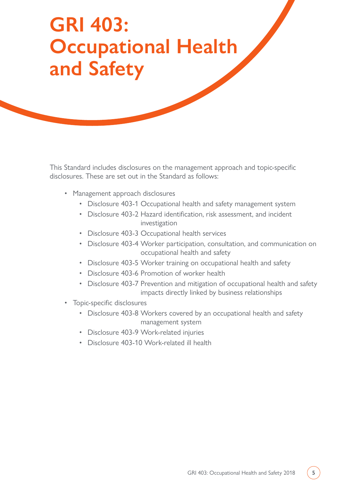# <span id="page-4-0"></span>**GRI 403: Occupational Health and Safety**

This Standard includes disclosures on the management approach and topic-specific disclosures. These are set out in the Standard as follows:

- Management approach disclosures
	- Disclosure 403-1 Occupational health and safety management system
	- Disclosure 403-2 Hazard identification, risk assessment, and incident investigation
	- Disclosure 403-3 Occupational health services
	- Disclosure 403-4 Worker participation, consultation, and communication on occupational health and safety
	- Disclosure 403-5 Worker training on occupational health and safety
	- Disclosure 403-6 Promotion of worker health
	- Disclosure 403-7 Prevention and mitigation of occupational health and safety impacts directly linked by business relationships
- Topic-specific disclosures
	- Disclosure 403-8 Workers covered by an occupational health and safety management system
	- Disclosure 403-9 Work-related injuries
	- Disclosure 403-10 Work-related ill health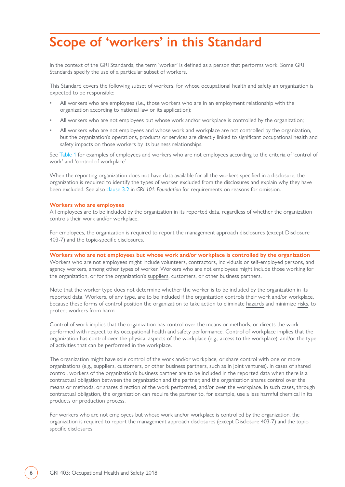## <span id="page-5-0"></span>**Scope of 'workers' in this Standard**

In the context of the GRI Standards, the term 'worker' is defined as a person that performs work. Some GRI Standards specify the use of a particular subset of workers.

This Standard covers the following subset of workers, for whose occupational health and safety an organization is expected to be responsible:

- All workers who are employees (i.e., those workers who are in an employment relationship with the organization according to national law or its application);
- All workers who are not employees but whose work and/or workplace is controlled by the organization;
- All workers who are not employees and whose work and workplace are not controlled by the organization, but the organization's operations, [products](#page-27-0) or [services](#page-27-1) are directly linked to significant occupational health and safety impacts on those workers by its business relationships.

See [Table 1](#page-6-0) for examples of employees and workers who are not employees according to the criteria of 'control of work' and 'control of workplace'.

When the reporting organization does not have data available for all the workers specified in a disclosure, the organization is required to identify the types of worker excluded from the disclosures and explain why they have been excluded. See also [clause 3.2](https://www.globalreporting.org/standards/media/1036/gri-101-foundation-2016.pdf#page=24) in *GRI 101: Foundation* for requirements on reasons for omission.

#### **Workers who are employees**

All employees are to be included by the organization in its reported data, regardless of whether the organization controls their work and/or workplace.

For employees, the organization is required to report the management approach disclosures (except Disclosure 403-7) and the topic-specific disclosures.

#### **Workers who are not employees but whose work and/or workplace is controlled by the organization**

Workers who are not employees might include volunteers, contractors, individuals or self-employed persons, and agency workers, among other types of worker. Workers who are not employees might include those working for the organization, or for the organization's [suppliers,](#page-27-2) customers, or other business partners.

Note that the worker type does not determine whether the worker is to be included by the organization in its reported data. Workers, of any type, are to be included if the organization controls their work and/or workplace, because these forms of control position the organization to take action to eliminate [hazards](#page-28-2) and minimize [risks,](#page-26-3) to protect workers from harm.

Control of work implies that the organization has control over the means or methods, or directs the work performed with respect to its occupational health and safety performance. Control of workplace implies that the organization has control over the physical aspects of the workplace (e.g., access to the workplace), and/or the type of activities that can be performed in the workplace.

The organization might have sole control of the work and/or workplace, or share control with one or more organizations (e.g., suppliers, customers, or other business partners, such as in joint ventures). In cases of shared control, workers of the organization's business partner are to be included in the reported data when there is a contractual obligation between the organization and the partner, and the organization shares control over the means or methods, or shares direction of the work performed, and/or over the workplace. In such cases, through contractual obligation, the organization can require the partner to, for example, use a less harmful chemical in its products or production process.

For workers who are not employees but whose work and/or workplace is controlled by the organization, the organization is required to report the management approach disclosures (except Disclosure 403-7) and the topicspecific disclosures.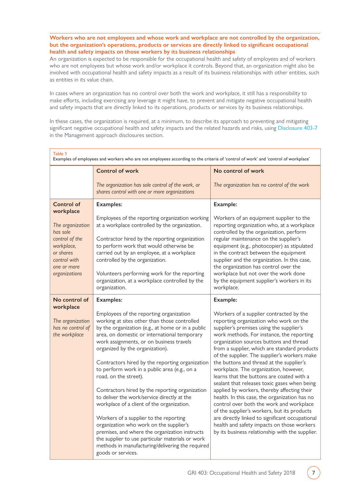<span id="page-6-0"></span>**Workers who are not employees and whose work and workplace are not controlled by the organization, but the organization's operations, products or services are directly linked to significant occupational health and safety impacts on those workers by its business relationships**

An organization is expected to be responsible for the occupational health and safety of employees and of workers who are not employees but whose work and/or workplace it controls. Beyond that, an organization might also be involved with occupational health and safety impacts as a result of its business relationships with other entities, such as entities in its value chain.

In cases where an organization has no control over both the work and workplace, it still has a responsibility to make efforts, including exercising any leverage it might have, to prevent and mitigate negative occupational health and safety impacts that are directly linked to its operations, products or services by its business relationships.

In these cases, the organization is required, at a minimum, to describe its approach to preventing and mitigating significant negative occupational health and safety impacts and the related hazards and risks, using [Disclosure 403-7](#page-15-0) in the Management approach disclosures section.

| Table 1<br>Examples of employees and workers who are not employees according to the criteria of 'control of work' and 'control of workplace' |                                                                                                                                                                                                                                                                                                                                |                                                                                                                                                                                                                                                                                                                                                                   |  |  |  |  |
|----------------------------------------------------------------------------------------------------------------------------------------------|--------------------------------------------------------------------------------------------------------------------------------------------------------------------------------------------------------------------------------------------------------------------------------------------------------------------------------|-------------------------------------------------------------------------------------------------------------------------------------------------------------------------------------------------------------------------------------------------------------------------------------------------------------------------------------------------------------------|--|--|--|--|
|                                                                                                                                              | <b>Control of work</b>                                                                                                                                                                                                                                                                                                         | No control of work                                                                                                                                                                                                                                                                                                                                                |  |  |  |  |
|                                                                                                                                              | The organization has sole control of the work, or<br>shares control with one or more organizations                                                                                                                                                                                                                             | The organization has no control of the work                                                                                                                                                                                                                                                                                                                       |  |  |  |  |
| <b>Control of</b><br>workplace                                                                                                               | <b>Examples:</b>                                                                                                                                                                                                                                                                                                               | Example:                                                                                                                                                                                                                                                                                                                                                          |  |  |  |  |
| The organization<br>has sole                                                                                                                 | Employees of the reporting organization working<br>at a workplace controlled by the organization.                                                                                                                                                                                                                              | Workers of an equipment supplier to the<br>reporting organization who, at a workplace<br>controlled by the organization, perform                                                                                                                                                                                                                                  |  |  |  |  |
| control of the<br>workplace,<br>or shares<br>control with<br>one or more                                                                     | Contractor hired by the reporting organization<br>to perform work that would otherwise be<br>carried out by an employee, at a workplace<br>controlled by the organization.                                                                                                                                                     | regular maintenance on the supplier's<br>equipment (e.g., photocopier) as stipulated<br>in the contract between the equipment<br>supplier and the organization. In this case,<br>the organization has control over the                                                                                                                                            |  |  |  |  |
| organizations                                                                                                                                | Volunteers performing work for the reporting<br>organization, at a workplace controlled by the<br>organization.                                                                                                                                                                                                                | workplace but not over the work done<br>by the equipment supplier's workers in its<br>workplace.                                                                                                                                                                                                                                                                  |  |  |  |  |
| No control of<br>workplace                                                                                                                   | <b>Examples:</b>                                                                                                                                                                                                                                                                                                               | Example:                                                                                                                                                                                                                                                                                                                                                          |  |  |  |  |
| The organization<br>has no control of<br>the workplace                                                                                       | Employees of the reporting organization<br>working at sites other than those controlled<br>by the organization (e.g., at home or in a public<br>area, on domestic or international temporary<br>work assignments, or on business travels<br>organized by the organization).<br>Contractors hired by the reporting organization | Workers of a supplier contracted by the<br>reporting organization who work on the<br>supplier's premises using the supplier's<br>work methods. For instance, the reporting<br>organization sources buttons and thread<br>from a supplier, which are standard products<br>of the supplier. The supplier's workers make<br>the buttons and thread at the supplier's |  |  |  |  |
|                                                                                                                                              | to perform work in a public area (e.g., on a<br>road, on the street).                                                                                                                                                                                                                                                          | workplace. The organization, however,<br>learns that the buttons are coated with a<br>sealant that releases toxic gases when being                                                                                                                                                                                                                                |  |  |  |  |
|                                                                                                                                              | Contractors hired by the reporting organization<br>to deliver the work/service directly at the<br>workplace of a client of the organization.                                                                                                                                                                                   | applied by workers, thereby affecting their<br>health. In this case, the organization has no<br>control over both the work and workplace<br>of the supplier's workers, but its products                                                                                                                                                                           |  |  |  |  |
|                                                                                                                                              | Workers of a supplier to the reporting<br>organization who work on the supplier's<br>premises, and where the organization instructs<br>the supplier to use particular materials or work<br>methods in manufacturing/delivering the required<br>goods or services.                                                              | are directly linked to significant occupational<br>health and safety impacts on those workers<br>by its business relationship with the supplier.                                                                                                                                                                                                                  |  |  |  |  |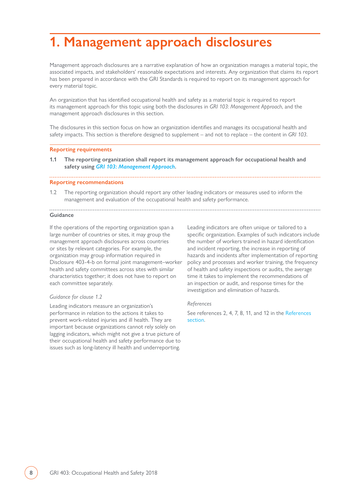## <span id="page-7-0"></span>**1. Management approach disclosures**

Management approach disclosures are a narrative explanation of how an organization manages a material topic, the associated impacts, and stakeholders' reasonable expectations and interests. Any organization that claims its report has been prepared in accordance with the GRI Standards is required to report on its management approach for every material topic.

An organization that has identified occupational health and safety as a material topic is required to report its management approach for this topic using both the disclosures in *GRI 103: Management Approach*, and the management approach disclosures in this section.

The disclosures in this section focus on how an organization identifies and manages its occupational health and safety impacts. This section is therefore designed to supplement – and not to replace – the content in *GRI 103*.

#### **Reporting requirements**

**1.1 The reporting organization shall report its management approach for occupational health and safety using** *[GRI 103: Management Approach](https://www.globalreporting.org/standards/media/1038/gri-103-management-approach-2016.pdf)***.**

#### **Reporting recommendations**

1.2 The reporting organization should report any other leading indicators or measures used to inform the management and evaluation of the occupational health and safety performance.

#### **Guidance**

If the operations of the reporting organization span a large number of countries or sites, it may group the management approach disclosures across countries or sites by relevant categories. For example, the organization may group information required in Disclosure 403-4-b on formal joint management–worker health and safety committees across sites with similar characteristics together; it does not have to report on each committee separately.

#### *Guidance for clause 1.2*

Leading indicators measure an organization's performance in relation to the actions it takes to prevent work-related injuries and ill health. They are important because organizations cannot rely solely on lagging indicators, which might not give a true picture of their occupational health and safety performance due to issues such as long-latency ill health and underreporting.

Leading indicators are often unique or tailored to a specific organization. Examples of such indicators include the number of workers trained in hazard identification and incident reporting, the increase in reporting of hazards and incidents after implementation of reporting policy and processes and worker training, the frequency of health and safety inspections or audits, the average time it takes to implement the recommendations of an inspection or audit, and response times for the investigation and elimination of hazards.

#### *References*

See references 2, 4, 7, 8, 11, and 12 in the [References](#page-30-0)  [section](#page-30-0).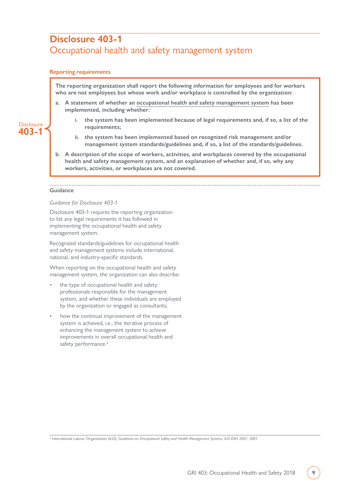### <span id="page-8-0"></span>**Disclosure 403-1** Occupational health and safety management system

#### **Reporting requirements**

**The reporting organization shall report the following information for employees and for workers who are not employees but whose work and/or workplace is controlled by the organization:**

- **a. A statement of whether an [occupational health and safety management system](#page-26-2) has been implemented, including whether:** 
	- **i. the system has been implemented because of legal requirements and, if so, a list of the requirements;**
	- **ii. the system has been implemented based on recognized risk management and/or management system standards/guidelines and, if so, a list of the standards/guidelines.**
- **b. A description of the scope of workers, activities, and workplaces covered by the occupational health and safety management system, and an explanation of whether and, if so, why any workers, activities, or workplaces are not covered.**

#### **Guidance**

**Disclosure 403-1**

#### *Guidance for Disclosure 403-1*

Disclosure 403-1 requires the reporting organization to list any legal requirements it has followed in implementing the occupational health and safety management system.

Recognized standards/guidelines for occupational health and safety management systems include international, national, and industry-specific standards.

When reporting on the occupational health and safety management system, the organization can also describe:

- the type of occupational health and safety professionals responsible for the management system, and whether these individuals are employed by the organization or engaged as consultants;
- how the continual improvement of the management system is achieved, i.e., the iterative process of enhancing the management system to achieve improvements in overall occupational health and safety performance.<sup>2</sup>

2 International Labour Organization (ILO), *Guidelines on Occupational Safety and Health Management Systems, ILO-OSH 2001*, 2001.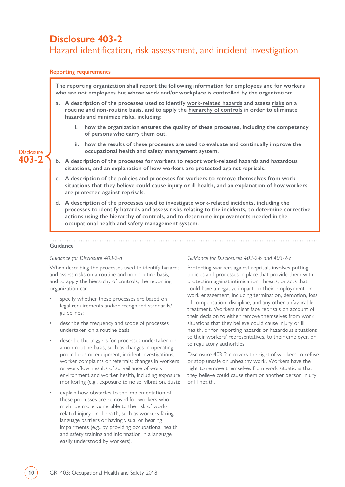### <span id="page-9-0"></span>**Disclosure 403-2**

### Hazard identification, risk assessment, and incident investigation

#### **Reporting requirements**

**The reporting organization shall report the following information for employees and for workers who are not employees but whose work and/or workplace is controlled by the organization:**

- **a. A description of the processes used to identify [work-related hazards](#page-28-2) and assess [risks](#page-26-3) on a routine and non-routine basis, and to apply the [hierarchy of controls](#page-25-1) in order to eliminate hazards and minimize risks, including:**
	- **i. how the organization ensures the quality of these processes, including the competency of persons who carry them out;**
	- **ii. how the results of these processes are used to evaluate and continually improve the [occupational health and safety management system](#page-26-2).**
- **b. A description of the processes for workers to report work-related hazards and hazardous situations, and an explanation of how workers are protected against reprisals.**
- **c. A description of the policies and processes for workers to remove themselves from work situations that they believe could cause injury or ill health, and an explanation of how workers are protected against reprisals.**
- **d. A description of the processes used to investigate [work-related incidents,](#page-29-0) including the processes to identify hazards and assess risks relating to the incidents, to determine corrective actions using the hierarchy of controls, and to determine improvements needed in the occupational health and safety management system.**

#### **Guidance**

#### *Guidance for Disclosure 403-2-a*

When describing the processes used to identify hazards and assess risks on a routine and non-routine basis, and to apply the hierarchy of controls, the reporting organization can:

- specify whether these processes are based on legal requirements and/or recognized standards/ guidelines;
- describe the frequency and scope of processes undertaken on a routine basis;
- describe the triggers for processes undertaken on a non-routine basis, such as changes in operating procedures or equipment; incident investigations; worker complaints or referrals; changes in workers or workflow; results of surveillance of work environment and worker health, including exposure monitoring (e.g., exposure to noise, vibration, dust);
- explain how obstacles to the implementation of these processes are removed for workers who might be more vulnerable to the risk of workrelated injury or ill health, such as workers facing language barriers or having visual or hearing impairments (e.g., by providing occupational health and safety training and information in a language easily understood by workers).

#### *Guidance for Disclosures 403-2-b and 403-2-c*

Protecting workers against reprisals involves putting policies and processes in place that provide them with protection against intimidation, threats, or acts that could have a negative impact on their employment or work engagement, including termination, demotion, loss of compensation, discipline, and any other unfavorable treatment. Workers might face reprisals on account of their decision to either remove themselves from work situations that they believe could cause injury or ill health, or for reporting hazards or hazardous situations to their workers' representatives, to their employer, or to regulatory authorities.

Disclosure 403-2-c covers the right of workers to refuse or stop unsafe or unhealthy work. Workers have the right to remove themselves from work situations that they believe could cause them or another person injury or ill health.

#### **Disclosure 403-2**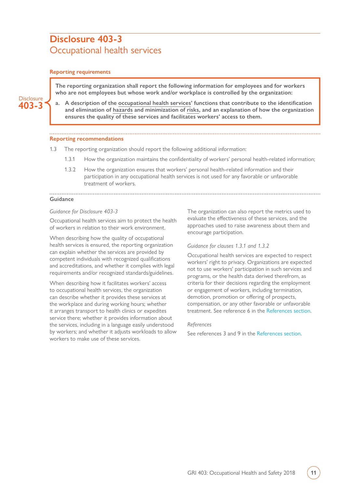### <span id="page-10-0"></span>**Disclosure 403-3** Occupational health services

#### **Reporting requirements**

**The reporting organization shall report the following information for employees and for workers who are not employees but whose work and/or workplace is controlled by the organization:**



**a. A description of the [occupational health services'](#page-26-4) functions that contribute to the identification and elimination of [hazards](#page-28-2) and minimization of [risks,](#page-26-3) and an explanation of how the organization ensures the quality of these services and facilitates workers' access to them.**

#### **Reporting recommendations**

- 1.3 The reporting organization should report the following additional information:
	- 1.3.1 How the organization maintains the confidentiality of workers' personal health-related information;
	- 1.3.2 How the organization ensures that workers' personal health-related information and their participation in any occupational health services is not used for any favorable or unfavorable treatment of workers.

#### **Guidance**

#### *Guidance for Disclosure 403-3*

Occupational health services aim to protect the health of workers in relation to their work environment.

When describing how the quality of occupational health services is ensured, the reporting organization can explain whether the services are provided by competent individuals with recognized qualifications and accreditations, and whether it complies with legal requirements and/or recognized standards/guidelines.

When describing how it facilitates workers' access to occupational health services, the organization can describe whether it provides these services at the workplace and during working hours; whether it arranges transport to health clinics or expedites service there; whether it provides information about the services, including in a language easily understood by workers; and whether it adjusts workloads to allow workers to make use of these services.

The organization can also report the metrics used to evaluate the effectiveness of these services, and the approaches used to raise awareness about them and encourage participation.

#### *Guidance for clauses 1.3.1 and 1.3.2*

Occupational health services are expected to respect workers' right to privacy. Organizations are expected not to use workers' participation in such services and programs, or the health data derived therefrom, as criteria for their decisions regarding the employment or engagement of workers, including termination, demotion, promotion or offering of prospects, compensation, or any other favorable or unfavorable treatment. See reference 6 in the [References section.](#page-30-0)

#### *References*

See references 3 and 9 in the [References section](#page-30-0).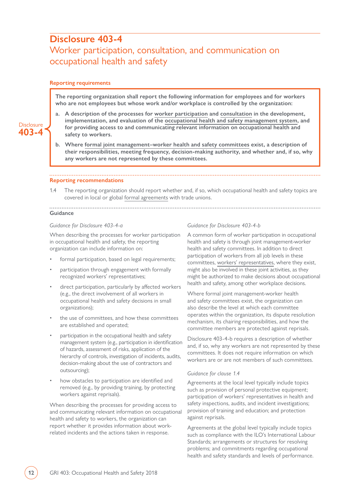### <span id="page-11-0"></span>**Disclosure 403-4** Worker participation, consultation, and communication on occupational health and safety

#### **Reporting requirements**

**Disclosure 403-4**

**The reporting organization shall report the following information for employees and for workers who are not employees but whose work and/or workplace is controlled by the organization:**

#### **a. A description of the processes for [worker participation](#page-28-1) and [consultation](#page-28-0) in the development, implementation, and evaluation of the [occupational health and safety management system](#page-26-2), and for providing access to and communicating relevant information on occupational health and safety to workers.**

**b. Where [formal joint management–worker health and safety committees](#page-25-3) exist, a description of their responsibilities, meeting frequency, decision-making authority, and whether and, if so, why any workers are not represented by these committees.**

#### **Reporting recommendations**

1.4 The reporting organization should report whether and, if so, which occupational health and safety topics are covered in local or global [formal agreements](#page-25-2) with trade unions.

### **Guidance**

#### *Guidance for Disclosure 403-4-a*

When describing the processes for worker participation in occupational health and safety, the reporting organization can include information on:

- formal participation, based on legal requirements;
- participation through engagement with formally recognized workers' representatives;
- direct participation, particularly by affected workers (e.g., the direct involvement of all workers in occupational health and safety decisions in small organizations);
- the use of committees, and how these committees are established and operated;
- participation in the occupational health and safety management system (e.g., participation in identification of hazards, assessment of risks, application of the hierarchy of controls, investigation of incidents, audits, decision-making about the use of contractors and outsourcing);
- how obstacles to participation are identified and removed (e.g., by providing training, by protecting workers against reprisals).

When describing the processes for providing access to and communicating relevant information on occupational health and safety to workers, the organization can report whether it provides information about workrelated incidents and the actions taken in response.

#### *Guidance for Disclosure 403-4-b*

A common form of worker participation in occupational health and safety is through joint management-worker health and safety committees. In addition to direct participation of workers from all job levels in these committees, [workers' representatives](#page-28-3), where they exist, might also be involved in these joint activities, as they might be authorized to make decisions about occupational health and safety, among other workplace decisions.

Where formal joint management-worker health and safety committees exist, the organization can also describe the level at which each committee operates within the organization, its dispute resolution mechanism, its chairing responsibilities, and how the committee members are protected against reprisals.

Disclosure 403-4-b requires a description of whether and, if so, why any workers are not represented by these committees. It does not require information on which workers are or are not members of such committees.

#### *Guidance for clause 1.4*

Agreements at the local level typically include topics such as provision of personal protective equipment; participation of workers' representatives in health and safety inspections, audits, and incident investigations; provision of training and education; and protection against reprisals.

Agreements at the global level typically include topics such as compliance with the ILO's International Labour Standards; arrangements or structures for resolving problems; and commitments regarding occupational health and safety standards and levels of performance.

**12** GRI 403: Occupational Health and Safety 2018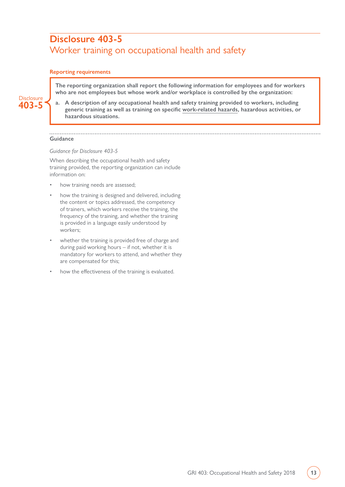### <span id="page-12-0"></span>**Disclosure 403-5** Worker training on occupational health and safety

#### **Reporting requirements**

**The reporting organization shall report the following information for employees and for workers who are not employees but whose work and/or workplace is controlled by the organization:**



**a. A description of any occupational health and safety training provided to workers, including generic training as well as training on specific [work-related hazards,](#page-28-2) hazardous activities, or hazardous situations.**

#### **Guidance**

#### *Guidance for Disclosure 403-5*

When describing the occupational health and safety training provided, the reporting organization can include information on:

- how training needs are assessed;
- how the training is designed and delivered, including the content or topics addressed, the competency of trainers, which workers receive the training, the frequency of the training, and whether the training is provided in a language easily understood by workers;
- whether the training is provided free of charge and during paid working hours – if not, whether it is mandatory for workers to attend, and whether they are compensated for this;
- how the effectiveness of the training is evaluated.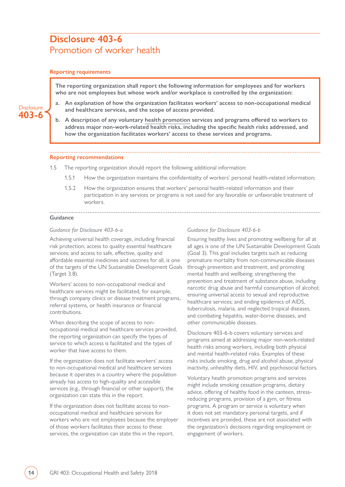### <span id="page-13-0"></span>**Disclosure 403-6** Promotion of worker health

#### **Reporting requirements**

**The reporting organization shall report the following information for employees and for workers who are not employees but whose work and/or workplace is controlled by the organization:**

#### **Disclosure 403-6**

**a. An explanation of how the organization facilitates workers' access to non-occupational medical and healthcare services, and the scope of access provided.**

**b. A description of any voluntary [health promotion](#page-25-0) services and programs offered to workers to address major non-work-related health risks, including the specific health risks addressed, and how the organization facilitates workers' access to these services and programs.**

#### **Reporting recommendations**

- 1.5 The reporting organization should report the following additional information:
	- 1.5.1 How the organization maintains the confidentiality of workers' personal health-related information;
	- 1.5.2 How the organization ensures that workers' personal health-related information and their participation in any services or programs is not used for any favorable or unfavorable treatment of workers.

#### **Guidance**

#### *Guidance for Disclosure 403-6-a*

Achieving universal health coverage, including financial risk protection; access to quality essential healthcare services; and access to safe, effective, quality and affordable essential medicines and vaccines for all, is one of the targets of the UN Sustainable Development Goals (Target 3.8).

Workers' access to non-occupational medical and healthcare services might be facilitated, for example, through company clinics or disease treatment programs, referral systems, or health insurance or financial contributions.

When describing the scope of access to nonoccupational medical and healthcare services provided, the reporting organization can specify the types of service to which access is facilitated and the types of worker that have access to them.

If the organization does not facilitate workers' access to non-occupational medical and healthcare services because it operates in a country where the population already has access to high-quality and accessible services (e.g., through financial or other support), the organization can state this in the report.

If the organization does not facilitate access to nonoccupational medical and healthcare services for workers who are not employees because the employer of those workers facilitates their access to these services, the organization can state this in the report.

#### *Guidance for Disclosure 403-6-b*

Ensuring healthy lives and promoting wellbeing for all at all ages is one of the UN Sustainable Development Goals (Goal 3). This goal includes targets such as reducing premature mortality from non-communicable diseases through prevention and treatment, and promoting mental health and wellbeing; strengthening the prevention and treatment of substance abuse, including narcotic drug abuse and harmful consumption of alcohol; ensuring universal access to sexual and reproductive healthcare services; and ending epidemics of AIDS, tuberculosis, malaria, and neglected tropical diseases, and combating hepatitis, water-borne diseases, and other communicable diseases.

Disclosure 403-6-b covers voluntary services and programs aimed at addressing major non-work-related health risks among workers, including both physical and mental health-related risks. Examples of these risks include smoking, drug and alcohol abuse, physical inactivity, unhealthy diets, HIV, and psychosocial factors.

Voluntary health promotion programs and services might include smoking cessation programs, dietary advice, offering of healthy food in the canteen, stressreducing programs, provision of a gym, or fitness programs. A program or service is voluntary when it does not set mandatory personal targets, and if incentives are provided, these are not associated with the organization's decisions regarding employment or engagement of workers.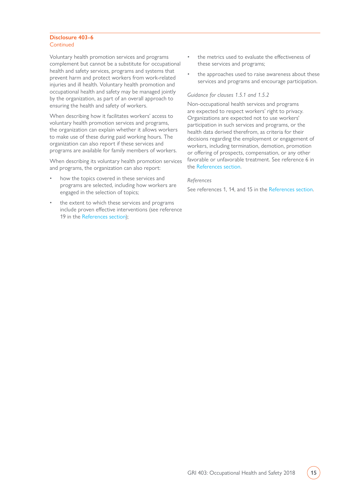#### **Disclosure 403-6** Continued

Voluntary health promotion services and programs complement but cannot be a substitute for occupational health and safety services, programs and systems that prevent harm and protect workers from work-related injuries and ill health. Voluntary health promotion and occupational health and safety may be managed jointly by the organization, as part of an overall approach to ensuring the health and safety of workers.

When describing how it facilitates workers' access to voluntary health promotion services and programs, the organization can explain whether it allows workers to make use of these during paid working hours. The organization can also report if these services and programs are available for family members of workers.

When describing its voluntary health promotion services and programs, the organization can also report:

- how the topics covered in these services and programs are selected, including how workers are engaged in the selection of topics;
- the extent to which these services and programs include proven effective interventions (see reference 19 in the [References section\)](#page-30-0);
- the metrics used to evaluate the effectiveness of these services and programs;
- the approaches used to raise awareness about these services and programs and encourage participation.

#### *Guidance for clauses 1.5.1 and 1.5.2*

Non-occupational health services and programs are expected to respect workers' right to privacy. Organizations are expected not to use workers' participation in such services and programs, or the health data derived therefrom, as criteria for their decisions regarding the employment or engagement of workers, including termination, demotion, promotion or offering of prospects, compensation, or any other favorable or unfavorable treatment. See reference 6 in the [References section](#page-30-0).

#### *References*

See references 1, 14, and 15 in the [References section](#page-30-0).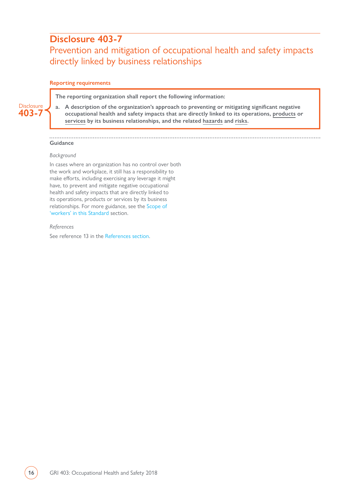### <span id="page-15-0"></span>**Disclosure 403-7**

### Prevention and mitigation of occupational health and safety impacts directly linked by business relationships

#### **Reporting requirements**

**The reporting organization shall report the following information:**

**a. A description of the organization's approach to preventing or mitigating significant negative occupational health and safety impacts that are directly linked to its operations, [products](#page-27-0) or [services](#page-27-1) by its business relationships, and the related [hazards](#page-28-2) and [risks.](#page-26-3)**

#### **Guidance**

**Disclosure 403-7**

#### *Background*

In cases where an organization has no control over both the work and workplace, it still has a responsibility to make efforts, including exercising any leverage it might have, to prevent and mitigate negative occupational health and safety impacts that are directly linked to its operations, products or services by its business relationships. For more guidance, see the [Scope of](#page-5-0)  ['workers' in this Standard](#page-5-0) section.

#### *References*

See reference 13 in the [References section](#page-30-0).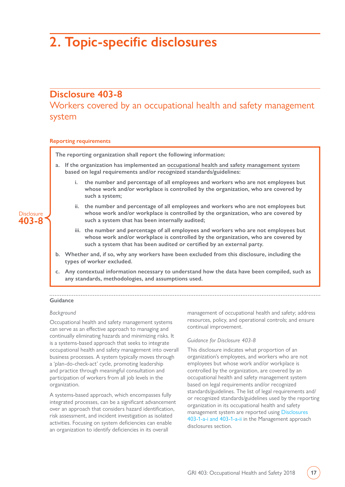## <span id="page-16-0"></span>**2. Topic-specific disclosures**

### **Disclosure 403-8**

Workers covered by an occupational health and safety management system

#### **Reporting requirements**

**The reporting organization shall report the following information:**

- **a. If the organization has implemented an [occupational health and safety management system](#page-26-2) based on legal requirements and/or recognized standards/guidelines:** 
	- **i. the number and percentage of all employees and workers who are not employees but whose work and/or workplace is controlled by the organization, who are covered by such a system;**
	- **ii. the number and percentage of all employees and workers who are not employees but whose work and/or workplace is controlled by the organization, who are covered by such a system that has been internally audited;**
	- **iii. the number and percentage of all employees and workers who are not employees but whose work and/or workplace is controlled by the organization, who are covered by such a system that has been audited or certified by an external party.**
- **b. Whether and, if so, why any workers have been excluded from this disclosure, including the types of worker excluded.**
- **c. Any contextual information necessary to understand how the data have been compiled, such as any standards, methodologies, and assumptions used.**

#### . . . . . . . . . . . . . . **Guidance**

#### *Background*

Occupational health and safety management systems can serve as an effective approach to managing and continually eliminating hazards and minimizing risks. It is a systems-based approach that seeks to integrate occupational health and safety management into overall business processes. A system typically moves through a 'plan-do-check-act' cycle, promoting leadership and practice through meaningful consultation and participation of workers from all job levels in the organization.

A systems-based approach, which encompasses fully integrated processes, can be a significant advancement over an approach that considers hazard identification, risk assessment, and incident investigation as isolated activities. Focusing on system deficiencies can enable an organization to identify deficiencies in its overall

management of occupational health and safety; address resources, policy, and operational controls; and ensure continual improvement.

#### *Guidance for Disclosure 403-8*

This disclosure indicates what proportion of an organization's employees, and workers who are not employees but whose work and/or workplace is controlled by the organization, are covered by an occupational health and safety management system based on legal requirements and/or recognized standards/guidelines. The list of legal requirements and/ or recognized standards/guidelines used by the reporting organization in its occupational health and safety management system are reported using [Disclosures](#page-8-0)  [403-1-a-i and 403-1-a-ii](#page-8-0) in the Management approach disclosures section.

**Disclosure 403-8**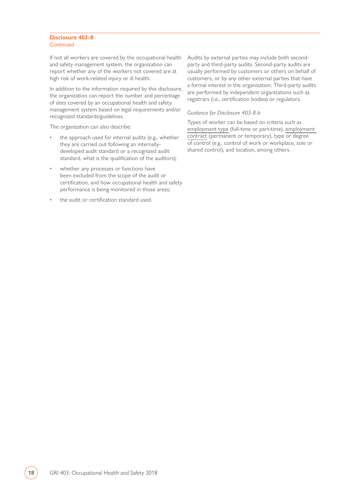#### **Disclosure 403-8 Continued**

If not all workers are covered by the occupational health and safety management system, the organization can report whether any of the workers not covered are at high risk of work-related injury or ill health.

In addition to the information required by this disclosure, the organization can report the number and percentage of sites covered by an occupational health and safety management system based on legal requirements and/or recognized standards/guidelines.

The organization can also describe:

- the approach used for internal audits (e.g., whether they are carried out following an internallydeveloped audit standard or a recognized audit standard, what is the qualification of the auditors);
- whether any processes or functions have been excluded from the scope of the audit or certification, and how occupational health and safety performance is being monitored in those areas;
- the audit or certification standard used.

Audits by external parties may include both secondparty and third-party audits. Second-party audits are usually performed by customers or others on behalf of customers, or by any other external parties that have a formal interest in the organization. Third-party audits are performed by independent organizations such as registrars (i.e., certification bodies) or regulators.

#### *Guidance for Disclosure 403-8-b*

Types of worker can be based on criteria such as [employment type](#page-24-1) (full-time or part-time), [employment](#page-24-2)  [contract](#page-24-2) (permanent or temporary), type or degree of control (e.g., control of work or workplace, sole or shared control), and location, among others.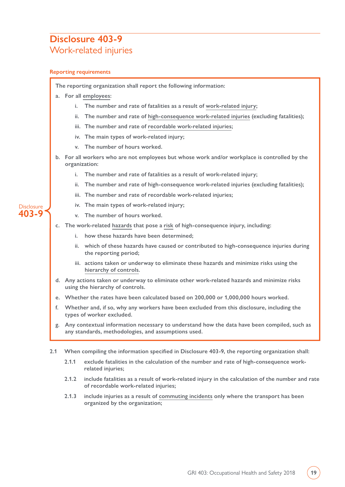### <span id="page-18-0"></span>**Disclosure 403-9** Work-related injuries

#### **Reporting requirements**

**The reporting organization shall report the following information:**

- **a. For all [employees](#page-24-3):**
	- **i. The number and rate of fatalities as a result of [work-related injury](#page-29-1);**
	- **ii. The number and rate of [high-consequence work-related injuries](#page-25-4) (excluding fatalities);**
	- **iii. The number and rate of [recordable work-related injuries;](#page-27-3)**
	- **iv. The main types of work-related injury;**
	- **v. The number of hours worked.**
- **b. For all workers who are not employees but whose work and/or workplace is controlled by the organization:**
	- **i. The number and rate of fatalities as a result of work-related injury;**
	- **ii. The number and rate of high-consequence work-related injuries (excluding fatalities);**
	- **iii. The number and rate of recordable work-related injuries;**
	- **iv. The main types of work-related injury;**
	- **v. The number of hours worked.**
- **c. The work-related [hazards](#page-28-2) that pose a [risk](#page-26-3) of high-consequence injury, including:**
	- **i. how these hazards have been determined;**
	- **ii. which of these hazards have caused or contributed to high-consequence injuries during the reporting period;**
	- **iii. actions taken or underway to eliminate these hazards and minimize risks using the [hierarchy of controls.](#page-25-1)**
- **d. Any actions taken or underway to eliminate other work-related hazards and minimize risks using the hierarchy of controls.**
- **e. Whether the rates have been calculated based on 200,000 or 1,000,000 hours worked.**
- **f. Whether and, if so, why any workers have been excluded from this disclosure, including the types of worker excluded.**
- **g. Any contextual information necessary to understand how the data have been compiled, such as any standards, methodologies, and assumptions used.**
- **2.1 When compiling the information specified in Disclosure 403-9, the reporting organization shall:**
	- **2.1.1 exclude fatalities in the calculation of the number and rate of high-consequence workrelated injuries;**
	- **2.1.2 include fatalities as a result of work-related injury in the calculation of the number and rate of recordable work-related injuries;**
	- **2.1.3 include injuries as a result of [commuting incidents](#page-24-4) only where the transport has been organized by the organization;**

#### **Disclosure 403-9**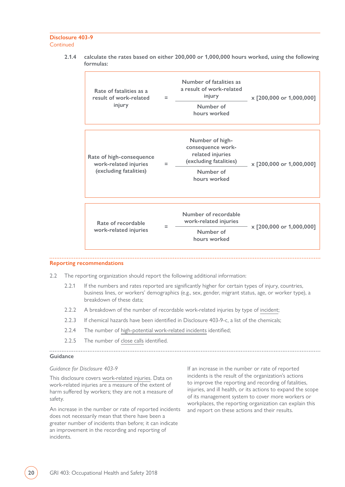#### **Disclosure 403-9 Continued**

**2.1.4 calculate the rates based on either 200,000 or 1,000,000 hours worked, using the following formulas:**

| Rate of fatalities as a<br>result of work-related<br>injury                 | $=$ | Number of fatalities as<br>a result of work-related<br>injury<br>Number of<br>hours worked                      | x [200,000 or 1,000,000] |
|-----------------------------------------------------------------------------|-----|-----------------------------------------------------------------------------------------------------------------|--------------------------|
| Rate of high-consequence<br>work-related injuries<br>(excluding fatalities) | $=$ | Number of high-<br>consequence work-<br>related injuries<br>(excluding fatalities)<br>Number of<br>hours worked | x [200,000 or 1,000,000] |
|                                                                             |     |                                                                                                                 |                          |
| Rate of recordable<br>work-related injuries                                 | Ξ   | Number of recordable<br>work-related injuries<br>Number of<br>hours worked                                      | x [200,000 or 1,000,000] |

#### **Reporting recommendations**

2.2 The reporting organization should report the following additional information:

- 2.2.1 If the numbers and rates reported are significantly higher for certain types of injury, countries, business lines, or workers' demographics (e.g., sex, gender, migrant status, age, or worker type), a breakdown of these data;
- 2.2.2 A breakdown of the number of recordable work-related injuries by type of [incident;](#page-29-0)
- 2.2.3 If chemical hazards have been identified in Disclosure 403-9-c, a list of the chemicals;
- 2.2.4 The number of [high-potential work-related incidents](#page-25-5) identified;
- 2.2.5 The number of [close calls](#page-24-5) identified.

#### **Guidance**

#### *Guidance for Disclosure 403-9*

This disclosure covers [work-related injuries.](#page-29-1) Data on work-related injuries are a measure of the extent of harm suffered by workers; they are not a measure of safety.

An increase in the number or rate of reported incidents does not necessarily mean that there have been a greater number of incidents than before; it can indicate an improvement in the recording and reporting of incidents.

If an increase in the number or rate of reported incidents is the result of the organization's actions to improve the reporting and recording of fatalities, injuries, and ill health, or its actions to expand the scope of its management system to cover more workers or workplaces, the reporting organization can explain this and report on these actions and their results.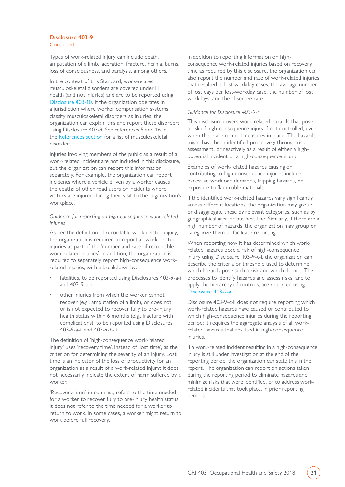#### <span id="page-20-0"></span>**Disclosure 403-9** Continued

Types of work-related injury can include death, amputation of a limb, laceration, fracture, hernia, burns, loss of consciousness, and paralysis, among others.

In the context of this Standard, work-related musculoskeletal disorders are covered under ill health (and not injuries) and are to be reported using [Disclosure 403-10.](#page-22-0) If the organization operates in a jurisdiction where worker compensation systems classify musculoskeletal disorders as injuries, the organization can explain this and report these disorders using Disclosure 403-9. See references 5 and 16 in the [References section](#page-30-0) for a list of musculoskeletal disorders.

Injuries involving members of the public as a result of a work-related incident are not included in this disclosure, but the organization can report this information separately. For example, the organization can report incidents where a vehicle driven by a worker causes the deaths of other road users or incidents where visitors are injured during their visit to the organization's workplace.

#### *Guidance for reporting on high-consequence work-related injuries*

As per the definition of [recordable work-related injury](#page-27-3), the organization is required to report all work-related injuries as part of the 'number and rate of recordable work-related injuries'. In addition, the organization is required to separately report [high-consequence work](#page-25-4)[related injuries](#page-25-4), with a breakdown by:

- fatalities, to be reported using Disclosures 403-9-a-i and 403-9-b-i.
- other injuries from which the worker cannot recover (e.g., amputation of a limb), or does not or is not expected to recover fully to pre-injury health status within 6 months (e.g., fracture with complications), to be reported using Disclosures 403-9-a-ii and 403-9-b-ii.

The definition of 'high-consequence work-related injury' uses 'recovery time', instead of 'lost time', as the criterion for determining the severity of an injury. Lost time is an indicator of the loss of productivity for an organization as a result of a work-related injury; it does not necessarily indicate the extent of harm suffered by a worker.

'Recovery time', in contrast, refers to the time needed for a worker to recover fully to pre-injury health status; it does not refer to the time needed for a worker to return to work. In some cases, a worker might return to work before full recovery.

In addition to reporting information on highconsequence work-related injuries based on recovery time as required by this disclosure, the organization can also report the number and rate of work-related injuries that resulted in lost-workday cases, the average number of lost days per lost-workday case, the number of lost workdays, and the absentee rate.

#### *Guidance for Disclosure 403-9-c*

This disclosure covers work-related [hazards](#page-28-2) that pose a [risk](#page-26-3) of [high-consequence injury](#page-25-4) if not controlled, even when there are control measures in place. The hazards might have been identified proactively through risk assessment, or reactively as a result of either a [high](#page-25-5)[potential incident](#page-25-5) or a high-consequence injury.

Examples of work-related hazards causing or contributing to high-consequence injuries include excessive workload demands, tripping hazards, or exposure to flammable materials.

If the identified work-related hazards vary significantly across different locations, the organization may group or disaggregate these by relevant categories, such as by geographical area or business line. Similarly, if there are a high number of hazards, the organization may group or categorize them to facilitate reporting.

When reporting how it has determined which workrelated hazards pose a risk of high-consequence injury using Disclosure 403-9-c-i, the organization can describe the criteria or threshold used to determine which hazards pose such a risk and which do not. The processes to identify hazards and assess risks, and to apply the hierarchy of controls, are reported using [Disclosure 403-2-a](#page-9-0).

Disclosure 403-9-c-ii does not require reporting which work-related hazards have caused or contributed to which high-consequence injuries during the reporting period; it requires the aggregate analysis of all workrelated hazards that resulted in high-consequence injuries.

If a work-related incident resulting in a high-consequence injury is still under investigation at the end of the reporting period, the organization can state this in the report. The organization can report on actions taken during the reporting period to eliminate hazards and minimize risks that were identified, or to address workrelated incidents that took place, in prior reporting periods.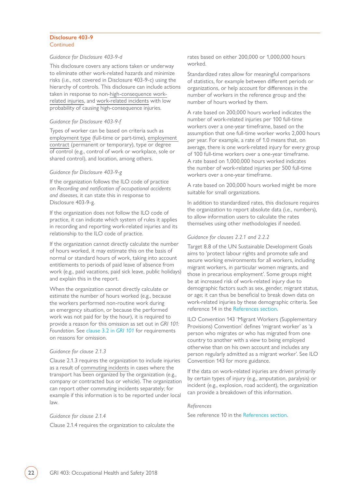#### <span id="page-21-0"></span>**Disclosure 403-9** Continued

#### *Guidance for Disclosure 403-9-d*

This disclosure covers any actions taken or underway to eliminate other work-related hazards and minimize risks (i.e., not covered in Disclosure 403-9-c) using the hierarchy of controls. This disclosure can include actions taken in response to non-[high-consequence work](#page-25-4)[related injuries](#page-25-4), and [work-related incidents](#page-29-0) with low probability of causing high-consequence injuries.

#### *Guidance for Disclosure 403-9-f*

Types of worker can be based on criteria such as [employment type](#page-24-1) (full-time or part-time), [employment](#page-24-2)  [contract](#page-24-2) (permanent or temporary), type or degree of control (e.g., control of work or workplace, sole or shared control), and location, among others.

#### *Guidance for Disclosure 403-9-g*

If the organization follows the ILO code of practice on *Recording and notification of occupational accidents and diseases*, it can state this in response to Disclosure 403-9-g.

If the organization does not follow the ILO code of practice, it can indicate which system of rules it applies in recording and reporting work-related injuries and its relationship to the ILO code of practice.

If the organization cannot directly calculate the number of hours worked, it may estimate this on the basis of normal or standard hours of work, taking into account entitlements to periods of paid leave of absence from work (e.g., paid vacations, paid sick leave, public holidays) and explain this in the report.

When the organization cannot directly calculate or estimate the number of hours worked (e.g., because the workers performed non-routine work during an emergency situation, or because the performed work was not paid for by the hour), it is required to provide a reason for this omission as set out in *GRI 101: Foundation*. See [clause 3.2 in](https://www.globalreporting.org/standards/media/1036/gri-101-foundation-2016.pdf#page=24) *GRI 101* for requirements on reasons for omission.

#### *Guidance for clause 2.1.3*

Clause 2.1.3 requires the organization to include injuries as a result of [commuting incidents](#page-24-4) in cases where the transport has been organized by the organization (e.g., company or contracted bus or vehicle). The organization can report other commuting incidents separately; for example if this information is to be reported under local law.

#### *Guidance for clause 2.1.4*

Clause 2.1.4 requires the organization to calculate the

rates based on either 200,000 or 1,000,000 hours worked.

Standardized rates allow for meaningful comparisons of statistics, for example between different periods or organizations, or help account for differences in the number of workers in the reference group and the number of hours worked by them.

A rate based on 200,000 hours worked indicates the number of work-related injuries per 100 full-time workers over a one-year timeframe, based on the assumption that one full-time worker works 2,000 hours per year. For example, a rate of 1.0 means that, on average, there is one work-related injury for every group of 100 full-time workers over a one-year timeframe. A rate based on 1,000,000 hours worked indicates the number of work-related injuries per 500 full-time workers over a one-year timeframe.

A rate based on 200,000 hours worked might be more suitable for small organizations.

In addition to standardized rates, this disclosure requires the organization to report absolute data (i.e., numbers), to allow information users to calculate the rates themselves using other methodologies if needed.

#### *Guidance for clauses 2.2.1 and 2.2.2*

Target 8.8 of the UN Sustainable Development Goals aims to 'protect labour rights and promote safe and secure working environments for all workers, including migrant workers, in particular women migrants, and those in precarious employment'. Some groups might be at increased risk of work-related injury due to demographic factors such as sex, gender, migrant status, or age; it can thus be beneficial to break down data on work-related injuries by these demographic criteria. See reference 14 in the [References section](#page-30-0).

ILO Convention 143 'Migrant Workers (Supplementary Provisions) Convention' defines 'migrant worker' as 'a person who migrates or who has migrated from one country to another with a view to being employed otherwise than on his own account and includes any person regularly admitted as a migrant worker'. See ILO Convention 143 for more guidance.

If the data on work-related injuries are driven primarily by certain types of injury (e.g., amputation, paralysis) or incident (e.g., explosion, road accident), the organization can provide a breakdown of this information.

#### *References*

See reference 10 in the [References section](#page-30-0).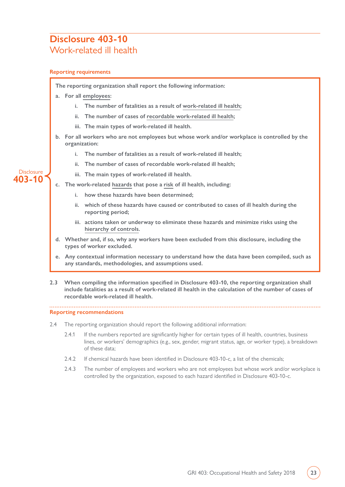### <span id="page-22-0"></span>**Disclosure 403-10** Work-related ill health

#### **Reporting requirements**

**The reporting organization shall report the following information:**

- **a. For all [employees](#page-24-3):**
	- **i. The number of fatalities as a result of [work-related ill health;](#page-29-1)**
	- **ii. The number of cases of [recordable work-related ill health](#page-27-3);**
	- **iii. The main types of work-related ill health.**
- **b. For all workers who are not employees but whose work and/or workplace is controlled by the organization:**
	- **i. The number of fatalities as a result of work-related ill health;**
	- **ii. The number of cases of recordable work-related ill health;**
	- **iii. The main types of work-related ill health.**
- **c. The work-related [hazards](#page-28-2) that pose a [risk](#page-26-3) of ill health, including:**
	- **i. how these hazards have been determined;**
	- **ii. which of these hazards have caused or contributed to cases of ill health during the reporting period;**
	- **iii. actions taken or underway to eliminate these hazards and minimize risks using the [hierarchy of controls.](#page-25-1)**
- **d. Whether and, if so, why any workers have been excluded from this disclosure, including the types of worker excluded.**
- **e. Any contextual information necessary to understand how the data have been compiled, such as any standards, methodologies, and assumptions used.**
- **2.3 When compiling the information specified in Disclosure 403-10, the reporting organization shall include fatalities as a result of work-related ill health in the calculation of the number of cases of recordable work-related ill health.**

**Reporting recommendations**

- 2.4 The reporting organization should report the following additional information:
	- 2.4.1 If the numbers reported are significantly higher for certain types of ill health, countries, business lines, or workers' demographics (e.g., sex, gender, migrant status, age, or worker type), a breakdown of these data;
	- 2.4.2 If chemical hazards have been identified in Disclosure 403-10-c, a list of the chemicals;
	- 2.4.3 The number of employees and workers who are not employees but whose work and/or workplace is controlled by the organization, exposed to each hazard identified in Disclosure 403-10-c.

#### **Disclosure 403-10**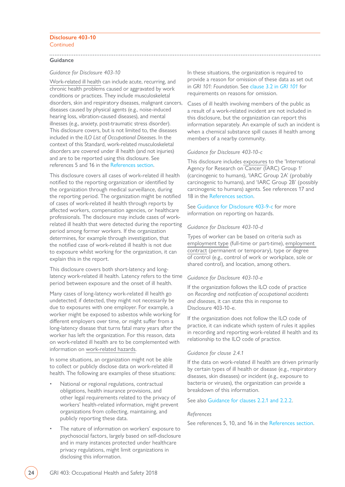#### **Disclosure 403-10** Continued

#### **Guidance**

#### *Guidance for Disclosure 403-10*

[Work-related ill health](#page-29-1) can include acute, recurring, and chronic health problems caused or aggravated by work conditions or practices. They include musculoskeletal disorders, skin and respiratory diseases, malignant cancers, diseases caused by physical agents (e.g., noise-induced hearing loss, vibration-caused diseases), and mental illnesses (e.g., anxiety, post-traumatic stress disorder). This disclosure covers, but is not limited to, the diseases included in the *ILO List of Occupational Diseases*. In the context of this Standard, work-related musculoskeletal disorders are covered under ill health (and not injuries) and are to be reported using this disclosure. See references 5 and 16 in the [References section.](#page-30-0)

This disclosure covers all cases of work-related ill health notified to the reporting organization or identified by the organization through medical surveillance, during the reporting period. The organization might be notified of cases of work-related ill health through reports by affected workers, compensation agencies, or healthcare professionals. The disclosure may include cases of workrelated ill health that were detected during the reporting period among former workers. If the organization determines, for example through investigation, that the notified case of work-related ill health is not due to exposure whilst working for the organization, it can explain this in the report.

This disclosure covers both short-latency and longlatency work-related ill health. Latency refers to the time period between exposure and the onset of ill health.

Many cases of long-latency work-related ill health go undetected; if detected, they might not necessarily be due to exposures with one employer. For example, a worker might be exposed to asbestos while working for different employers over time, or might suffer from a long-latency disease that turns fatal many years after the worker has left the organization. For this reason, data on work-related ill health are to be complemented with information on [work-related hazards](#page-28-2).

In some situations, an organization might not be able to collect or publicly disclose data on work-related ill health. The following are examples of these situations:

- National or regional regulations, contractual obligations, health insurance provisions, and other legal requirements related to the privacy of workers' health-related information, might prevent organizations from collecting, maintaining, and publicly reporting these data.
- The nature of information on workers' exposure to psychosocial factors, largely based on self-disclosure and in many instances protected under healthcare privacy regulations, might limit organizations in disclosing this information.

In these situations, the organization is required to provide a reason for omission of these data as set out in *GRI 101: Foundation*. See [clause 3.2 in](https://www.globalreporting.org/standards/media/1036/gri-101-foundation-2016.pdf#page=24) *GRI 101* for requirements on reasons for omission.

Cases of ill health involving members of the public as a result of a work-related incident are not included in this disclosure, but the organization can report this information separately. An example of such an incident is when a chemical substance spill causes ill health among members of a nearby community.

#### *Guidance for Disclosure 403-10-c*

This disclosure includes [exposures](#page-24-6) to the 'International Agency for Research on Cancer (IARC) Group 1' (carcinogenic to humans), 'IARC Group 2A' (probably carcinogenic to humans), and 'IARC Group 2B' (possibly carcinogenic to humans) agents. See references 17 and 18 in the [References section](#page-30-0).

See Guidance for [Disclosure 403-9-c](#page-20-0) for more information on reporting on hazards.

#### *Guidance for Disclosure 403-10-d*

Types of worker can be based on criteria such as [employment type](#page-24-1) (full-time or part-time), [employment](#page-24-2)  [contract](#page-24-2) (permanent or temporary), type or degree of control (e.g., control of work or workplace, sole or shared control), and location, among others.

#### *Guidance for Disclosure 403-10-e*

If the organization follows the ILO code of practice on *Recording and notification of occupational accidents and diseases*, it can state this in response to Disclosure 403-10-e.

If the organization does not follow the ILO code of practice, it can indicate which system of rules it applies in recording and reporting work-related ill health and its relationship to the ILO code of practice.

#### *Guidance for clause 2.4.1*

If the data on work-related ill health are driven primarily by certain types of ill health or disease (e.g., respiratory diseases, skin diseases) or incident (e.g., exposure to bacteria or viruses), the organization can provide a breakdown of this information.

#### See also [Guidance for clauses 2.2.1 and 2.2.2.](#page-21-0)

#### *References*

See references 5, 10, and 16 in the [References section.](#page-30-0)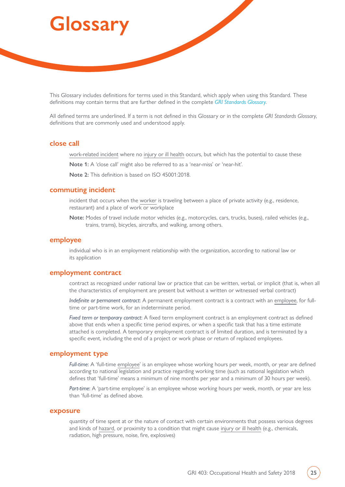# <span id="page-24-0"></span>**Glossary**

This Glossary includes definitions for terms used in this Standard, which apply when using this Standard. These definitions may contain terms that are further defined in the complete *[GRI Standards Glossary](https://www.globalreporting.org/standards/media/1913/gri-standards-glossary.pdf)*.

All defined terms are underlined. If a term is not defined in this Glossary or in the complete *GRI Standards Glossary*, definitions that are commonly used and understood apply.

#### <span id="page-24-5"></span>**close call**

[work-related incident](#page-29-0) where no [injury or ill health](#page-29-1) occurs, but which has the potential to cause these

**Note 1:** A 'close call' might also be referred to as a 'near-miss' or 'near-hit'.

**Note 2:** This definition is based on ISO 45001:2018.

#### <span id="page-24-4"></span>**commuting incident**

incident that occurs when the [worker](#page-28-4) is traveling between a place of private activity (e.g., residence, restaurant) and a place of work or workplace

**Note:** Modes of travel include motor vehicles (e.g., motorcycles, cars, trucks, buses), railed vehicles (e.g., trains, trams), bicycles, aircrafts, and walking, among others.

#### <span id="page-24-3"></span>**employee**

individual who is in an employment relationship with the organization, according to national law or its application

#### <span id="page-24-2"></span>**employment contract**

contract as recognized under national law or practice that can be written, verbal, or implicit (that is, when all the characteristics of employment are present but without a written or witnessed verbal contract)

*Indefinite or permanent contract*: A permanent employment contract is a contract with an [employee,](#page-24-3) for fulltime or part-time work, for an indeterminate period.

*Fixed term or temporary contract*: A fixed term employment contract is an employment contract as defined above that ends when a specific time period expires, or when a specific task that has a time estimate attached is completed. A temporary employment contract is of limited duration, and is terminated by a specific event, including the end of a project or work phase or return of replaced employees.

#### <span id="page-24-1"></span>**employment type**

*Full-time*: A 'full-time [employee'](#page-24-3) is an employee whose working hours per week, month, or year are defined according to national legislation and practice regarding working time (such as national legislation which defines that 'full-time' means a minimum of nine months per year and a minimum of 30 hours per week).

*Part-time*: A 'part-time employee' is an employee whose working hours per week, month, or year are less than 'full-time' as defined above.

#### <span id="page-24-6"></span>**exposure**

quantity of time spent at or the nature of contact with certain environments that possess various degrees and kinds of [hazard](#page-28-2), or proximity to a condition that might cause [injury or ill health](#page-29-1) (e.g., chemicals, radiation, high pressure, noise, fire, explosives)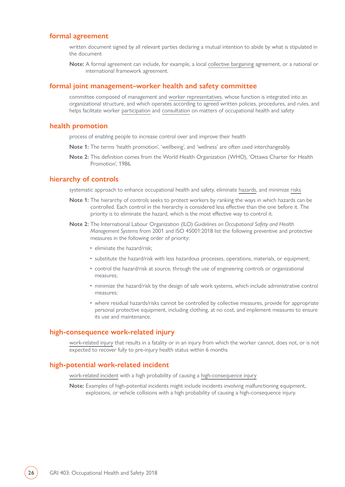#### <span id="page-25-2"></span>**formal agreement**

written document signed by all relevant parties declaring a mutual intention to abide by what is stipulated in the document

**Note:** A formal agreement can include, for example, a local [collective bargaining](https://www.globalreporting.org/standards/media/1913/gri-standards-glossary.pdf) agreement, or a national or international framework agreement.

#### <span id="page-25-3"></span>**formal joint management–worker health and safety committee**

committee composed of management and [worker representatives,](#page-28-3) whose function is integrated into an organizational structure, and which operates according to agreed written policies, procedures, and rules, and helps facilitate worker [participation](#page-28-1) and [consultation](#page-28-0) on matters of occupational health and safety

#### <span id="page-25-0"></span>**health promotion**

process of enabling people to increase control over and improve their health

- **Note 1:** The terms 'health promotion', 'wellbeing', and 'wellness' are often used interchangeably.
- **Note 2:** This definition comes from the World Health Organization (WHO), 'Ottawa Charter for Health Promotion', 1986.

#### <span id="page-25-1"></span>**hierarchy of controls**

systematic approach to enhance occupational health and safety, eliminate [hazards](#page-28-2), and minimize [risks](#page-26-3)

- **Note 1:** The hierarchy of controls seeks to protect workers by ranking the ways in which hazards can be controlled. Each control in the hierarchy is considered less effective than the one before it. The priority is to eliminate the hazard, which is the most effective way to control it.
- **Note 2:** The International Labour Organization (ILO) *Guidelines on Occupational Safety and Health Management Systems* from 2001 and ISO 45001:2018 list the following preventive and protective measures in the following order of priority:
	- eliminate the hazard/risk;
	- substitute the hazard/risk with less hazardous processes, operations, materials, or equipment;
	- control the hazard/risk at source, through the use of engineering controls or organizational measures;
	- minimize the hazard/risk by the design of safe work systems, which include administrative control measures;
	- where residual hazards/risks cannot be controlled by collective measures, provide for appropriate personal protective equipment, including clothing, at no cost, and implement measures to ensure its use and maintenance.

#### <span id="page-25-4"></span>**high-consequence work-related injury**

[work-related injury](#page-29-1) that results in a fatality or in an injury from which the worker cannot, does not, or is not expected to recover fully to pre-injury health status within 6 months

#### <span id="page-25-5"></span>**high-potential work-related incident**

[work-related incident](#page-29-0) with a high probability of causing a [high-consequence injury](#page-25-4)

**Note:** Examples of high-potential incidents might include incidents involving malfunctioning equipment, explosions, or vehicle collisions with a high probability of causing a high-consequence injury.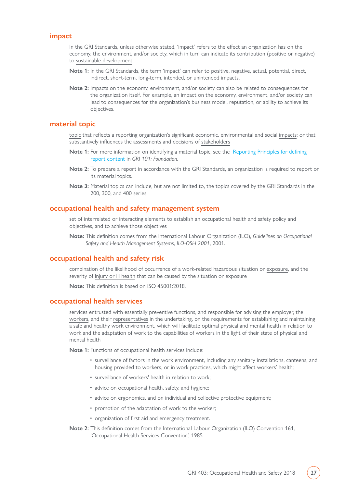#### <span id="page-26-0"></span>**impact**

In the GRI Standards, unless otherwise stated, 'impact' refers to the effect an organization has on the economy, the environment, and/or society, which in turn can indicate its contribution (positive or negative) to [sustainable development.](https://www.globalreporting.org/standards/media/1913/gri-standards-glossary.pdf)

- **Note 1:** In the GRI Standards, the term 'impact' can refer to positive, negative, actual, potential, direct, indirect, short-term, long-term, intended, or unintended impacts.
- **Note 2:** Impacts on the economy, environment, and/or society can also be related to consequences for the organization itself. For example, an impact on the economy, environment, and/or society can lead to consequences for the organization's business model, reputation, or ability to achieve its objectives.

#### <span id="page-26-1"></span>**material topic**

[topic](https://www.globalreporting.org/standards/media/1913/gri-standards-glossary.pdf) that reflects a reporting organization's significant economic, environmental and social [impacts](#page-26-0); or that substantively influences the assessments and decisions of [stakeholders](https://www.globalreporting.org/standards/media/1913/gri-standards-glossary.pdf)

- **Note 1:** For more information on identifying a material topic, see the [Reporting Principles for defining](https://www.globalreporting.org/standards/media/1036/gri-101-foundation-2016.pdf#page=8)  [report content](https://www.globalreporting.org/standards/media/1036/gri-101-foundation-2016.pdf#page=8) in *GRI 101: Foundation*.
- **Note 2:** To prepare a report in accordance with the GRI Standards, an organization is required to report on its material topics.
- **Note 3:** Material topics can include, but are not limited to, the topics covered by the GRI Standards in the 200, 300, and 400 series.

#### <span id="page-26-2"></span>**occupational health and safety management system**

set of interrelated or interacting elements to establish an occupational health and safety policy and objectives, and to achieve those objectives

**Note:** This definition comes from the International Labour Organization (ILO), *Guidelines on Occupational Safety and Health Management Systems, ILO-OSH 2001*, 2001.

#### <span id="page-26-3"></span>**occupational health and safety risk**

combination of the likelihood of occurrence of a work-related hazardous situation or [exposure,](#page-24-6) and the severity of [injury or ill health](#page-29-1) that can be caused by the situation or exposure

**Note:** This definition is based on ISO 45001:2018.

#### <span id="page-26-4"></span>**occupational health services**

services entrusted with essentially preventive functions, and responsible for advising the employer, the [workers](#page-28-4), and their [representatives](#page-28-3) in the undertaking, on the requirements for establishing and maintaining a safe and healthy work environment, which will facilitate optimal physical and mental health in relation to work and the adaptation of work to the capabilities of workers in the light of their state of physical and mental health

**Note 1:** Functions of occupational health services include:

- surveillance of factors in the work environment, including any sanitary installations, canteens, and housing provided to workers, or in work practices, which might affect workers' health;
- surveillance of workers' health in relation to work;
- advice on occupational health, safety, and hygiene;
- advice on ergonomics, and on individual and collective protective equipment;
- promotion of the adaptation of work to the worker;
- organization of first aid and emergency treatment.
- **Note 2:** This definition comes from the International Labour Organization (ILO) Convention 161, 'Occupational Health Services Convention', 1985.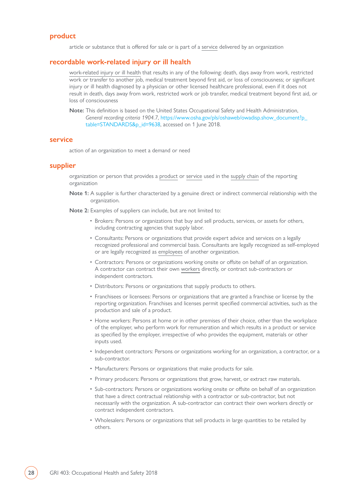#### <span id="page-27-0"></span>**product**

article or substance that is offered for sale or is part of a [service](#page-27-1) delivered by an organization

#### <span id="page-27-3"></span>**recordable work-related injury or ill health**

[work-related injury or ill health](#page-29-1) that results in any of the following: death, days away from work, restricted work or transfer to another job, medical treatment beyond first aid, or loss of consciousness; or significant injury or ill health diagnosed by a physician or other licensed healthcare professional, even if it does not result in death, days away from work, restricted work or job transfer, medical treatment beyond first aid, or loss of consciousness

**Note:** This definition is based on the United States Occupational Safety and Health Administration, *General recording criteria 1904.7*, [https://www.osha.gov/pls/oshaweb/owadisp.show\\_document?p\\_](https://www.osha.gov/pls/oshaweb/owadisp.show_document?p_table=STANDARDS&p_id=9638) [table=STANDARDS&p\\_id=9638,](https://www.osha.gov/pls/oshaweb/owadisp.show_document?p_table=STANDARDS&p_id=9638) accessed on 1 June 2018.

#### <span id="page-27-1"></span>**service**

action of an organization to meet a demand or need

#### <span id="page-27-2"></span>**supplier**

organization or person that provides a [product](#page-27-0) or [service](#page-27-1) used in the [supply chain](https://www.globalreporting.org/standards/media/1913/gri-standards-glossary.pdf) of the reporting organization

**Note 1:** A supplier is further characterized by a genuine direct or indirect commercial relationship with the organization.

**Note 2:** Examples of suppliers can include, but are not limited to:

- Brokers: Persons or organizations that buy and sell products, services, or assets for others, including contracting agencies that supply labor.
- Consultants: Persons or organizations that provide expert advice and services on a legally recognized professional and commercial basis. Consultants are legally recognized as self-employed or are legally recognized as [employees](#page-24-3) of another organization.
- Contractors: Persons or organizations working onsite or offsite on behalf of an organization. A contractor can contract their own [workers](#page-28-4) directly, or contract sub-contractors or independent contractors.
- Distributors: Persons or organizations that supply products to others.
- Franchisees or licensees: Persons or organizations that are granted a franchise or license by the reporting organization. Franchises and licenses permit specified commercial activities, such as the production and sale of a product.
- Home workers: Persons at home or in other premises of their choice, other than the workplace of the employer, who perform work for remuneration and which results in a product or service as specified by the employer, irrespective of who provides the equipment, materials or other inputs used.
- Independent contractors: Persons or organizations working for an organization, a contractor, or a sub-contractor.
- Manufacturers: Persons or organizations that make products for sale.
- Primary producers: Persons or organizations that grow, harvest, or extract raw materials.
- Sub-contractors: Persons or organizations working onsite or offsite on behalf of an organization that have a direct contractual relationship with a contractor or sub-contractor, but not necessarily with the organization. A sub-contractor can contract their own workers directly or contract independent contractors.
- Wholesalers: Persons or organizations that sell products in large quantities to be retailed by others.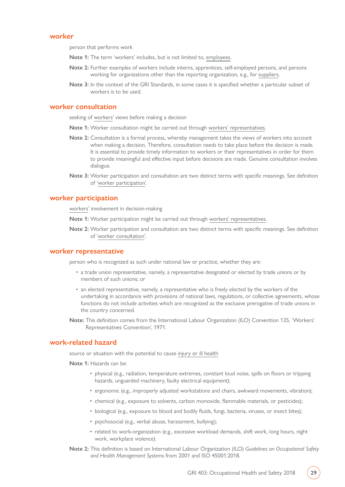#### <span id="page-28-4"></span>**worker**

person that performs work

- **Note 1:** The term 'workers' includes, but is not limited to, [employees.](#page-24-3)
- **Note 2:** Further examples of workers include interns, apprentices, self-employed persons, and persons working for organizations other than the reporting organization, e.g., for [suppliers](#page-27-2).
- **Note 3:** In the context of the GRI Standards, in some cases it is specified whether a particular subset of workers is to be used.

#### <span id="page-28-0"></span>**worker consultation**

seeking of [workers](#page-28-4)' views before making a decision

- **Note 1:** Worker consultation might be carried out through [workers' representatives](#page-28-3).
- **Note 2:** Consultation is a formal process, whereby management takes the views of workers into account when making a decision. Therefore, consultation needs to take place before the decision is made. It is essential to provide timely information to workers or their representatives in order for them to provide meaningful and effective input before decisions are made. Genuine consultation involves dialogue.
- **Note 3:** Worker participation and consultation are two distinct terms with specific meanings. See definition of '[worker participation](#page-28-1)'.

#### <span id="page-28-1"></span>**worker participation**

[workers](#page-28-4)' involvement in decision-making

**Note 1:** Worker participation might be carried out through [workers' representatives.](#page-28-3)

**Note 2:** Worker participation and consultation are two distinct terms with specific meanings. See definition of '[worker consultation'](#page-28-0).

#### <span id="page-28-3"></span>**worker representative**

person who is recognized as such under national law or practice, whether they are:

- a trade union representative, namely, a representative designated or elected by trade unions or by members of such unions; or
- an elected representative, namely, a representative who is freely elected by the workers of the undertaking in accordance with provisions of national laws, regulations, or collective agreements, whose functions do not include activities which are recognized as the exclusive prerogative of trade unions in the country concerned.
- **Note:** This definition comes from the International Labour Organization (ILO) Convention 135, 'Workers' Representatives Convention', 1971.

#### <span id="page-28-2"></span>**work-related hazard**

source or situation with the potential to cause [injury or ill health](#page-29-1)

**Note 1:** Hazards can be:

- physical (e.g., radiation, temperature extremes, constant loud noise, spills on floors or tripping hazards, unguarded machinery, faulty electrical equipment);
- ergonomic (e.g., improperly adjusted workstations and chairs, awkward movements, vibration);
- chemical (e.g., exposure to solvents, carbon monoxide, flammable materials, or pesticides);
- biological (e.g., exposure to blood and bodily fluids, fungi, bacteria, viruses, or insect bites);
- psychosocial (e.g., verbal abuse, harassment, bullying);
- related to work-organization (e.g., excessive workload demands, shift work, long hours, night work, workplace violence).
- **Note 2:** This definition is based on International Labour Organization (ILO) *Guidelines on Occupational Safety and Health Management Systems* from 2001 and ISO 45001:2018.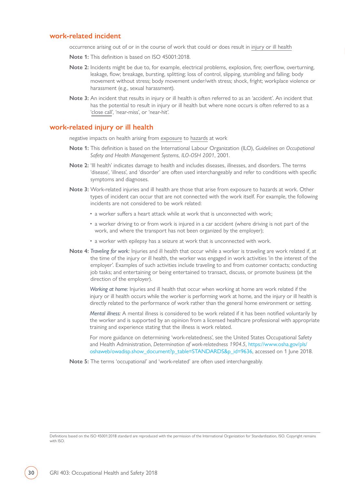#### <span id="page-29-0"></span>**work-related incident**

occurrence arising out of or in the course of work that could or does result in [injury or ill health](#page-29-1)

- **Note 1:** This definition is based on ISO 45001:2018.
- **Note 2:** Incidents might be due to, for example, electrical problems, explosion, fire; overflow, overturning, leakage, flow; breakage, bursting, splitting; loss of control, slipping, stumbling and falling; body movement without stress; body movement under/with stress; shock, fright; workplace violence or harassment (e.g., sexual harassment).
- **Note 3:** An incident that results in injury or ill health is often referred to as an 'accident'. An incident that has the potential to result in injury or ill health but where none occurs is often referred to as a ['close call](#page-24-5)', 'near-miss', or 'near-hit'.

#### <span id="page-29-1"></span>**work-related injury or ill health**

negative impacts on health arising from [exposure](#page-24-6) to [hazards](#page-28-2) at work

- **Note 1:** This definition is based on the International Labour Organization (ILO), *Guidelines on Occupational Safety and Health Management Systems, ILO-OSH 2001*, 2001.
- **Note 2:** 'Ill health' indicates damage to health and includes diseases, illnesses, and disorders. The terms 'disease', 'illness', and 'disorder' are often used interchangeably and refer to conditions with specific symptoms and diagnoses.
- **Note 3:** Work-related injuries and ill health are those that arise from exposure to hazards at work. Other types of incident can occur that are not connected with the work itself. For example, the following incidents are not considered to be work related:
	- a worker suffers a heart attack while at work that is unconnected with work;
	- a worker driving to or from work is injured in a car accident (where driving is not part of the work, and where the transport has not been organized by the employer);
	- a worker with epilepsy has a seizure at work that is unconnected with work.
- **Note 4:** *Traveling for work:* Injuries and ill health that occur while a worker is traveling are work related if, at the time of the injury or ill health, the worker was engaged in work activities 'in the interest of the employer'. Examples of such activities include traveling to and from customer contacts; conducting job tasks; and entertaining or being entertained to transact, discuss, or promote business (at the direction of the employer).

 *Working at home:* Injuries and ill health that occur when working at home are work related if the injury or ill health occurs while the worker is performing work at home, and the injury or ill health is directly related to the performance of work rather than the general home environment or setting.

*Mental illness:* A mental illness is considered to be work related if it has been notified voluntarily by the worker and is supported by an opinion from a licensed healthcare professional with appropriate training and experience stating that the illness is work related.

 For more guidance on determining 'work-relatedness', see the United States Occupational Safety and Health Administration, *Determination of work-relatedness 1904.5*, [https://www.osha.gov/pls/](https://www.osha.gov/pls/oshaweb/owadisp.show_document?p_table=STANDARDS&p_id=9636) [oshaweb/owadisp.show\\_document?p\\_table=STANDARDS&p\\_id=9636](https://www.osha.gov/pls/oshaweb/owadisp.show_document?p_table=STANDARDS&p_id=9636), accessed on 1 June 2018.

**Note 5:** The terms 'occupational' and 'work-related' are often used interchangeably.

Definitions based on the ISO 45001:2018 standard are reproduced with the permission of the International Organization for Standardization, ISO. Copyright remains with ISO.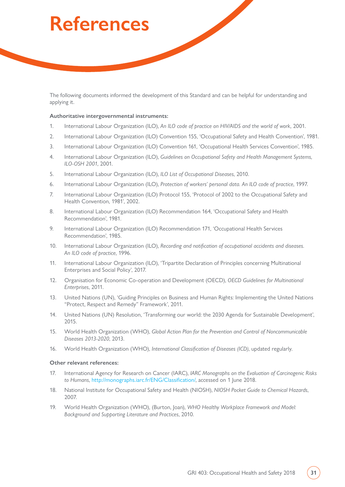# <span id="page-30-0"></span>**References**

The following documents informed the development of this Standard and can be helpful for understanding and applying it.

#### **Authoritative intergovernmental instruments:**

- 1. International Labour Organization (ILO), *An ILO code of practice on HIV/AIDS and the world of work*, 2001.
- 2. International Labour Organization (ILO) Convention 155, 'Occupational Safety and Health Convention', 1981.
- 3. International Labour Organization (ILO) Convention 161, 'Occupational Health Services Convention', 1985.
- 4. International Labour Organization (ILO), *Guidelines on Occupational Safety and Health Management Systems, ILO-OSH 2001*, 2001.
- 5. International Labour Organization (ILO), *ILO List of Occupational Diseases*, 2010.
- 6. International Labour Organization (ILO), *Protection of workers' personal data. An ILO code of practice*, 1997.
- 7. International Labour Organization (ILO) Protocol 155, 'Protocol of 2002 to the Occupational Safety and Health Convention, 1981', 2002.
- 8. International Labour Organization (ILO) Recommendation 164, 'Occupational Safety and Health Recommendation', 1981.
- 9. International Labour Organization (ILO) Recommendation 171, 'Occupational Health Services Recommendation', 1985.
- 10. International Labour Organization (ILO), *Recording and notification of occupational accidents and diseases. An ILO code of practice*, 1996.
- 11. International Labour Organization (ILO), 'Tripartite Declaration of Principles concerning Multinational Enterprises and Social Policy', 2017.
- 12. Organisation for Economic Co-operation and Development (OECD), *OECD Guidelines for Multinational Enterprises*, 2011.
- 13. United Nations (UN), 'Guiding Principles on Business and Human Rights: Implementing the United Nations "Protect, Respect and Remedy" Framework', 2011.
- 14. United Nations (UN) Resolution, 'Transforming our world: the 2030 Agenda for Sustainable Development', 2015.
- 15. World Health Organization (WHO), *Global Action Plan for the Prevention and Control of Noncommunicable Diseases 2013-2020*, 2013.
- 16. World Health Organization (WHO), *International Classification of Diseases (ICD)*, updated regularly.

#### **Other relevant references:**

- 17. International Agency for Research on Cancer (IARC), *IARC Monographs on the Evaluation of Carcinogenic Risks to Humans*, [http://monographs.iarc.fr/ENG/Classification/,](http://monographs.iarc.fr/ENG/Classification/) accessed on 1 June 2018.
- 18. National Institute for Occupational Safety and Health (NIOSH), *NIOSH Pocket Guide to Chemical Hazards*, 2007.
- 19. World Health Organization (WHO), (Burton, Joan), *WHO Healthy Workplace Framework and Model: Background and Supporting Literature and Practices*, 2010.